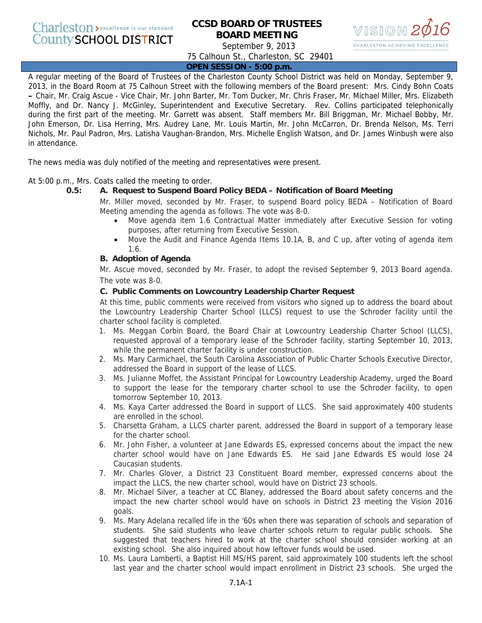# **CCSD BOARD OF TRUSTEES BOARD MEETING**



September 9, 2013

75 Calhoun St., Charleston, SC 29401

**OPEN SESSION - 5:00 p.m.**

A regular meeting of the Board of Trustees of the Charleston County School District was held on Monday, September 9, 2013, in the Board Room at 75 Calhoun Street with the following members of the Board present: Mrs. Cindy Bohn Coats **–** Chair, Mr. Craig Ascue - Vice Chair, Mr. John Barter, Mr. Tom Ducker, Mr. Chris Fraser, Mr. Michael Miller, Mrs. Elizabeth Moffly, and Dr. Nancy J. McGinley, Superintendent and Executive Secretary. Rev. Collins participated telephonically during the first part of the meeting. Mr. Garrett was absent. Staff members Mr. Bill Briggman, Mr. Michael Bobby, Mr. John Emerson, Dr. Lisa Herring, Mrs. Audrey Lane, Mr. Louis Martin, Mr. John McCarron, Dr. Brenda Nelson, Ms. Terri Nichols, Mr. Paul Padron, Mrs. Latisha Vaughan-Brandon, Mrs. Michelle English Watson, and Dr. James Winbush were also in attendance.

The news media was duly notified of the meeting and representatives were present.

At 5:00 p.m., Mrs. Coats called the meeting to order.

# **0.5: A. Request to Suspend Board Policy BEDA – Notification of Board Meeting**

Mr. Miller moved, seconded by Mr. Fraser, to suspend Board policy BEDA – Notification of Board Meeting amending the agenda as follows. The vote was 8-0.

- Move agenda item 1.6 Contractual Matter immediately after Executive Session for voting purposes, after returning from Executive Session.
- Move the Audit and Finance Agenda Items 10.1A, B, and C up, after voting of agenda item 1.6.

# **B. Adoption of Agenda**

Mr. Ascue moved, seconded by Mr. Fraser, to adopt the revised September 9, 2013 Board agenda. The vote was 8-0.

# **C. Public Comments on Lowcountry Leadership Charter Request**

At this time, public comments were received from visitors who signed up to address the board about the Lowcountry Leadership Charter School (LLCS) request to use the Schroder facility until the charter school facility is completed.

- 1. Ms. Meggan Corbin Board, the Board Chair at Lowcountry Leadership Charter School (LLCS), requested approval of a temporary lease of the Schroder facility, starting September 10, 2013, while the permanent charter facility is under construction.
- 2. Ms. Mary Carmichael, the South Carolina Association of Public Charter Schools Executive Director, addressed the Board in support of the lease of LLCS.
- 3. Ms. Julianne Moffet, the Assistant Principal for Lowcountry Leadership Academy, urged the Board to support the lease for the temporary charter school to use the Schroder facility, to open tomorrow September 10, 2013.
- 4. Ms. Kaya Carter addressed the Board in support of LLCS. She said approximately 400 students are enrolled in the school.
- 5. Charsetta Graham, a LLCS charter parent, addressed the Board in support of a temporary lease for the charter school.
- 6. Mr. John Fisher, a volunteer at Jane Edwards ES, expressed concerns about the impact the new charter school would have on Jane Edwards ES. He said Jane Edwards ES would lose 24 Caucasian students.
- 7. Mr. Charles Glover, a District 23 Constituent Board member, expressed concerns about the impact the LLCS, the new charter school, would have on District 23 schools.
- 8. Mr. Michael Silver, a teacher at CC Blaney, addressed the Board about safety concerns and the impact the new charter school would have on schools in District 23 meeting the Vision 2016 goals.
- 9. Ms. Mary Adelana recalled life in the '60s when there was separation of schools and separation of students. She said students who leave charter schools return to regular public schools. She suggested that teachers hired to work at the charter school should consider working at an existing school. She also inquired about how leftover funds would be used.
- 10. Ms. Laura Lamberti, a Baptist Hill MS/HS parent, said approximately 100 students left the school last year and the charter school would impact enrollment in District 23 schools. She urged the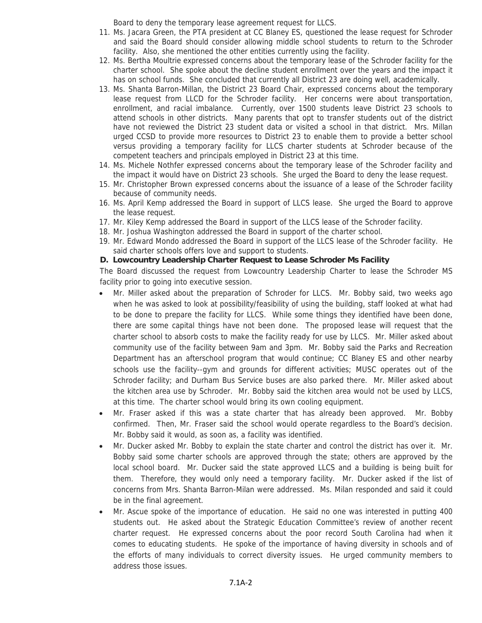Board to deny the temporary lease agreement request for LLCS.

- 11. Ms. Jacara Green, the PTA president at CC Blaney ES, questioned the lease request for Schroder and said the Board should consider allowing middle school students to return to the Schroder facility. Also, she mentioned the other entities currently using the facility.
- 12. Ms. Bertha Moultrie expressed concerns about the temporary lease of the Schroder facility for the charter school. She spoke about the decline student enrollment over the years and the impact it has on school funds. She concluded that currently all District 23 are doing well, academically.
- 13. Ms. Shanta Barron-Millan, the District 23 Board Chair, expressed concerns about the temporary lease request from LLCD for the Schroder facility. Her concerns were about transportation, enrollment, and racial imbalance. Currently, over 1500 students leave District 23 schools to attend schools in other districts. Many parents that opt to transfer students out of the district have not reviewed the District 23 student data or visited a school in that district. Mrs. Millan urged CCSD to provide more resources to District 23 to enable them to provide a better school versus providing a temporary facility for LLCS charter students at Schroder because of the competent teachers and principals employed in District 23 at this time.
- 14. Ms. Michele Nothfer expressed concerns about the temporary lease of the Schroder facility and the impact it would have on District 23 schools. She urged the Board to deny the lease request.
- 15. Mr. Christopher Brown expressed concerns about the issuance of a lease of the Schroder facility because of community needs.
- 16. Ms. April Kemp addressed the Board in support of LLCS lease. She urged the Board to approve the lease request.
- 17. Mr. Kiley Kemp addressed the Board in support of the LLCS lease of the Schroder facility.
- 18. Mr. Joshua Washington addressed the Board in support of the charter school.
- 19. Mr. Edward Mondo addressed the Board in support of the LLCS lease of the Schroder facility. He said charter schools offers love and support to students.

# **D. Lowcountry Leadership Charter Request to Lease Schroder Ms Facility**

The Board discussed the request from Lowcountry Leadership Charter to lease the Schroder MS facility prior to going into executive session.

- Mr. Miller asked about the preparation of Schroder for LLCS. Mr. Bobby said, two weeks ago when he was asked to look at possibility/feasibility of using the building, staff looked at what had to be done to prepare the facility for LLCS. While some things they identified have been done, there are some capital things have not been done. The proposed lease will request that the charter school to absorb costs to make the facility ready for use by LLCS. Mr. Miller asked about community use of the facility between 9am and 3pm. Mr. Bobby said the Parks and Recreation Department has an afterschool program that would continue; CC Blaney ES and other nearby schools use the facility--gym and grounds for different activities; MUSC operates out of the Schroder facility; and Durham Bus Service buses are also parked there. Mr. Miller asked about the kitchen area use by Schroder. Mr. Bobby said the kitchen area would not be used by LLCS, at this time. The charter school would bring its own cooling equipment.
- Mr. Fraser asked if this was a state charter that has already been approved. Mr. Bobby confirmed. Then, Mr. Fraser said the school would operate regardless to the Board's decision. Mr. Bobby said it would, as soon as, a facility was identified.
- Mr. Ducker asked Mr. Bobby to explain the state charter and control the district has over it. Mr. Bobby said some charter schools are approved through the state; others are approved by the local school board. Mr. Ducker said the state approved LLCS and a building is being built for them. Therefore, they would only need a temporary facility. Mr. Ducker asked if the list of concerns from Mrs. Shanta Barron-Milan were addressed. Ms. Milan responded and said it could be in the final agreement.
- Mr. Ascue spoke of the importance of education. He said no one was interested in putting 400 students out. He asked about the Strategic Education Committee's review of another recent charter request. He expressed concerns about the poor record South Carolina had when it comes to educating students. He spoke of the importance of having diversity in schools and of the efforts of many individuals to correct diversity issues. He urged community members to address those issues.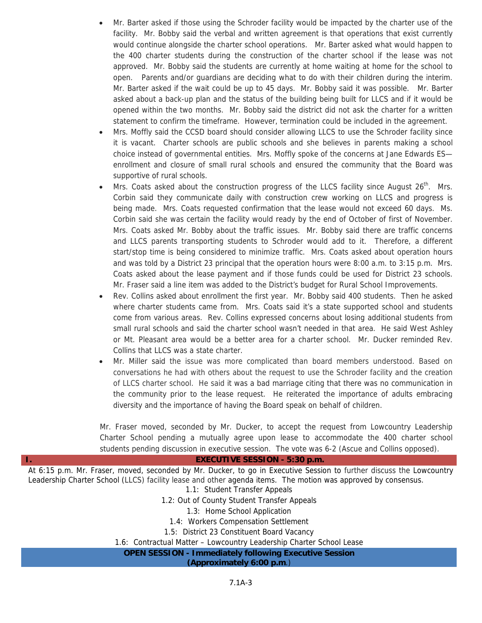- Mr. Barter asked if those using the Schroder facility would be impacted by the charter use of the facility. Mr. Bobby said the verbal and written agreement is that operations that exist currently would continue alongside the charter school operations. Mr. Barter asked what would happen to the 400 charter students during the construction of the charter school if the lease was not approved. Mr. Bobby said the students are currently at home waiting at home for the school to open. Parents and/or guardians are deciding what to do with their children during the interim. Mr. Barter asked if the wait could be up to 45 days. Mr. Bobby said it was possible. Mr. Barter asked about a back-up plan and the status of the building being built for LLCS and if it would be opened within the two months. Mr. Bobby said the district did not ask the charter for a written statement to confirm the timeframe. However, termination could be included in the agreement.
- Mrs. Moffly said the CCSD board should consider allowing LLCS to use the Schroder facility since it is vacant. Charter schools are public schools and she believes in parents making a school choice instead of governmental entities. Mrs. Moffly spoke of the concerns at Jane Edwards ES enrollment and closure of small rural schools and ensured the community that the Board was supportive of rural schools.
- Mrs. Coats asked about the construction progress of the LLCS facility since August  $26<sup>th</sup>$ . Mrs. Corbin said they communicate daily with construction crew working on LLCS and progress is being made. Mrs. Coats requested confirmation that the lease would not exceed 60 days. Ms. Corbin said she was certain the facility would ready by the end of October of first of November. Mrs. Coats asked Mr. Bobby about the traffic issues. Mr. Bobby said there are traffic concerns and LLCS parents transporting students to Schroder would add to it. Therefore, a different start/stop time is being considered to minimize traffic. Mrs. Coats asked about operation hours and was told by a District 23 principal that the operation hours were 8:00 a.m. to 3:15 p.m. Mrs. Coats asked about the lease payment and if those funds could be used for District 23 schools. Mr. Fraser said a line item was added to the District's budget for Rural School Improvements.
- Rev. Collins asked about enrollment the first year. Mr. Bobby said 400 students. Then he asked where charter students came from. Mrs. Coats said it's a state supported school and students come from various areas. Rev. Collins expressed concerns about losing additional students from small rural schools and said the charter school wasn't needed in that area. He said West Ashley or Mt. Pleasant area would be a better area for a charter school. Mr. Ducker reminded Rev. Collins that LLCS was a state charter.
- Mr. Miller said the issue was more complicated than board members understood. Based on conversations he had with others about the request to use the Schroder facility and the creation of LLCS charter school. He said it was a bad marriage citing that there was no communication in the community prior to the lease request. He reiterated the importance of adults embracing diversity and the importance of having the Board speak on behalf of children.

Mr. Fraser moved, seconded by Mr. Ducker, to accept the request from Lowcountry Leadership Charter School pending a mutually agree upon lease to accommodate the 400 charter school students pending discussion in executive session. The vote was 6-2 (Ascue and Collins opposed).

### **I. EXECUTIVE SESSION - 5:30 p.m.**

At 6:15 p.m. Mr. Fraser, moved, seconded by Mr. Ducker, to go in Executive Session to further discuss the Lowcountry Leadership Charter School (LLCS) facility lease and other agenda items. The motion was approved by consensus.

- 1.1: Student Transfer Appeals
- 1.2: Out of County Student Transfer Appeals
	- 1.3: Home School Application
	- 1.4: Workers Compensation Settlement
- 1.5: District 23 Constituent Board Vacancy

1.6: Contractual Matter – Lowcountry Leadership Charter School Lease

### **OPEN SESSION - Immediately following Executive Session**

**(Approximately 6:00 p.m**.)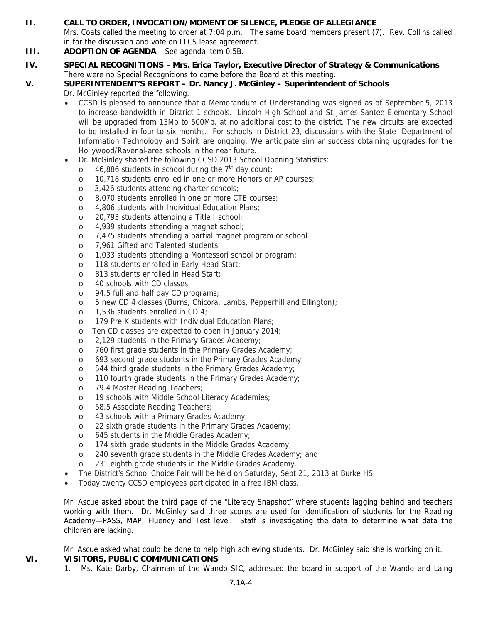# **II. CALL TO ORDER, INVOCATION/MOMENT OF SILENCE, PLEDGE OF ALLEGIANCE**

Mrs. Coats called the meeting to order at 7:04 p.m. The same board members present (7). Rev. Collins called in for the discussion and vote on LLCS lease agreement.

- **III. ADOPTION OF AGENDA** See agenda item 0.5B.
- **IV. SPECIAL RECOGNITIONS Mrs. Erica Taylor, Executive Director of Strategy & Communications**  There were no Special Recognitions to come before the Board at this meeting.

# **V. SUPERINTENDENT'S REPORT – Dr. Nancy J. McGinley – Superintendent of Schools**

Dr. McGinley reported the following.

- CCSD is pleased to announce that a Memorandum of Understanding was signed as of September 5, 2013 to increase bandwidth in District 1 schools. Lincoln High School and St James-Santee Elementary School will be upgraded from 13Mb to 500Mb, at no additional cost to the district. The new circuits are expected to be installed in four to six months. For schools in District 23, discussions with the State Department of Information Technology and Spirit are ongoing. We anticipate similar success obtaining upgrades for the Hollywood/Ravenal-area schools in the near future.
- Dr. McGinley shared the following CCSD 2013 School Opening Statistics:
	- $\circ$  46,886 students in school during the 7<sup>th</sup> day count;
	- o 10,718 students enrolled in one or more Honors or AP courses;
	- o 3,426 students attending charter schools;
	- o 8,070 students enrolled in one or more CTE courses;
	- o 4,806 students with Individual Education Plans;
	- o 20,793 students attending a Title I school;
	- o 4,939 students attending a magnet school;
	- o 7,475 students attending a partial magnet program or school
	- o 7,961 Gifted and Talented students
	- o 1,033 students attending a Montessori school or program;
	- o 118 students enrolled in Early Head Start;
	- o 813 students enrolled in Head Start;
	- o 40 schools with CD classes;
	- o 94.5 full and half day CD programs;
	- o 5 new CD 4 classes (Burns, Chicora, Lambs, Pepperhill and Ellington);
	- o 1,536 students enrolled in CD 4;
	- o 179 Pre K students with Individual Education Plans;
	- o Ten CD classes are expected to open in January 2014;
	- o 2,129 students in the Primary Grades Academy;
	- o 760 first grade students in the Primary Grades Academy;
	- o 693 second grade students in the Primary Grades Academy;
	- o 544 third grade students in the Primary Grades Academy;
	- o 110 fourth grade students in the Primary Grades Academy;
	- o 79.4 Master Reading Teachers;
	- o 19 schools with Middle School Literacy Academies;
	- o 58.5 Associate Reading Teachers;
	- o 43 schools with a Primary Grades Academy;
	- o 22 sixth grade students in the Primary Grades Academy;
	- o 645 students in the Middle Grades Academy;
	- o 174 sixth grade students in the Middle Grades Academy;
	- o 240 seventh grade students in the Middle Grades Academy; and
	- o 231 eighth grade students in the Middle Grades Academy.
- The District's School Choice Fair will be held on Saturday, Sept 21, 2013 at Burke HS.
- Today twenty CCSD employees participated in a free IBM class.

Mr. Ascue asked about the third page of the "Literacy Snapshot" where students lagging behind and teachers working with them. Dr. McGinley said three scores are used for identification of students for the Reading Academy—PASS, MAP, Fluency and Test level. Staff is investigating the data to determine what data the children are lacking.

Mr. Ascue asked what could be done to help high achieving students. Dr. McGinley said she is working on it. **VI. VISITORS, PUBLIC COMMUNICATIONS** 

1. Ms. Kate Darby, Chairman of the Wando SIC, addressed the board in support of the Wando and Laing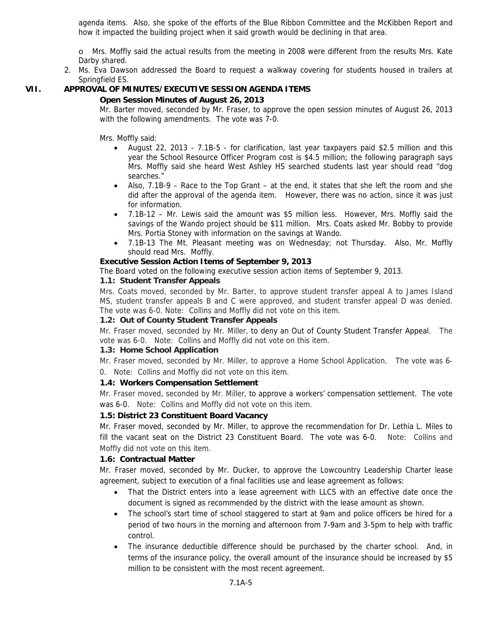agenda items. Also, she spoke of the efforts of the Blue Ribbon Committee and the McKibben Report and how it impacted the building project when it said growth would be declining in that area.

o Mrs. Moffly said the actual results from the meeting in 2008 were different from the results Mrs. Kate Darby shared.

2. Ms. Eva Dawson addressed the Board to request a walkway covering for students housed in trailers at Springfield ES.

# **VII. APPROVAL OF MINUTES/EXECUTIVE SESSION AGENDA ITEMS**

### **Open Session Minutes of August 26, 2013**

Mr. Barter moved, seconded by Mr. Fraser, to approve the open session minutes of August 26, 2013 with the following amendments. The vote was 7-0.

Mrs. Moffly said:

- August 22, 2013 7.1B-5 for clarification, last year taxpayers paid \$2.5 million and this year the School Resource Officer Program cost is \$4.5 million; the following paragraph says Mrs. Moffly said she heard West Ashley HS searched students last year should read "dog searches."
- Also, 7.1B-9 Race to the Top Grant at the end, it states that she left the room and she did after the approval of the agenda item. However, there was no action, since it was just for information.
- 7.1B-12 Mr. Lewis said the amount was \$5 million less. However, Mrs. Moffly said the savings of the Wando project should be \$11 million. Mrs. Coats asked Mr. Bobby to provide Mrs. Portia Stoney with information on the savings at Wando.
- 7.1B-13 The Mt. Pleasant meeting was on Wednesday; not Thursday. Also, Mr. Moffly should read Mrs. Moffly.

### **Executive Session Action Items of September 9, 2013**

The Board voted on the following executive session action items of September 9, 2013.

# **1.1: Student Transfer Appeals**

Mrs. Coats moved, seconded by Mr. Barter, to approve student transfer appeal A to James Island MS, student transfer appeals B and C were approved, and student transfer appeal D was denied. The vote was 6-0. Note: Collins and Moffly did not vote on this item.

### **1.2: Out of County Student Transfer Appeals**

Mr. Fraser moved, seconded by Mr. Miller, to deny an Out of County Student Transfer Appeal. The vote was 6-0. Note: Collins and Moffly did not vote on this item.

### **1.3: Home School Application**

Mr. Fraser moved, seconded by Mr. Miller, to approve a Home School Application. The vote was 6- 0. Note: Collins and Moffly did not vote on this item.

# **1.4: Workers Compensation Settlement**

Mr. Fraser moved, seconded by Mr. Miller, to approve a workers' compensation settlement. The vote was 6-0. Note: Collins and Moffly did not vote on this item.

# **1.5: District 23 Constituent Board Vacancy**

Mr. Fraser moved, seconded by Mr. Miller, to approve the recommendation for Dr. Lethia L. Miles to fill the vacant seat on the District 23 Constituent Board. The vote was 6-0. Note: Collins and Moffly did not vote on this item.

# **1.6: Contractual Matter**

Mr. Fraser moved, seconded by Mr. Ducker, to approve the Lowcountry Leadership Charter lease agreement, subject to execution of a final facilities use and lease agreement as follows:

- That the District enters into a lease agreement with LLCS with an effective date once the document is signed as recommended by the district with the lease amount as shown.
- The school's start time of school staggered to start at 9am and police officers be hired for a period of two hours in the morning and afternoon from 7-9am and 3-5pm to help with traffic control.
- The insurance deductible difference should be purchased by the charter school. And, in terms of the insurance policy, the overall amount of the insurance should be increased by \$5 million to be consistent with the most recent agreement.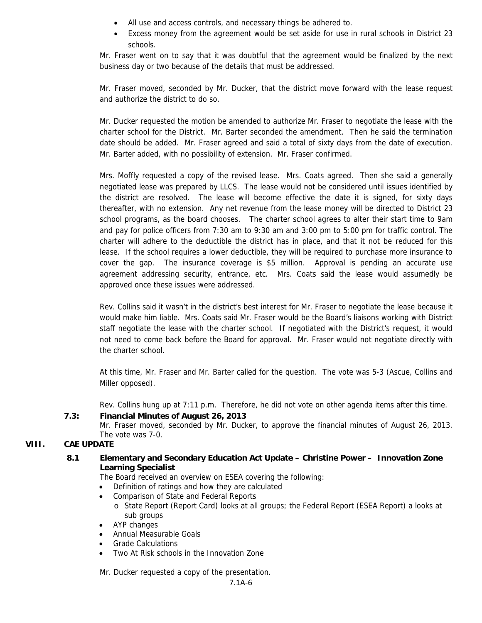- All use and access controls, and necessary things be adhered to.
- Excess money from the agreement would be set aside for use in rural schools in District 23 schools.

Mr. Fraser went on to say that it was doubtful that the agreement would be finalized by the next business day or two because of the details that must be addressed.

Mr. Fraser moved, seconded by Mr. Ducker, that the district move forward with the lease request and authorize the district to do so.

Mr. Ducker requested the motion be amended to authorize Mr. Fraser to negotiate the lease with the charter school for the District. Mr. Barter seconded the amendment. Then he said the termination date should be added. Mr. Fraser agreed and said a total of sixty days from the date of execution. Mr. Barter added, with no possibility of extension. Mr. Fraser confirmed.

Mrs. Moffly requested a copy of the revised lease. Mrs. Coats agreed. Then she said a generally negotiated lease was prepared by LLCS. The lease would not be considered until issues identified by the district are resolved. The lease will become effective the date it is signed, for sixty days thereafter, with no extension. Any net revenue from the lease money will be directed to District 23 school programs, as the board chooses. The charter school agrees to alter their start time to 9am and pay for police officers from 7:30 am to 9:30 am and 3:00 pm to 5:00 pm for traffic control. The charter will adhere to the deductible the district has in place, and that it not be reduced for this lease. If the school requires a lower deductible, they will be required to purchase more insurance to cover the gap. The insurance coverage is \$5 million. Approval is pending an accurate use agreement addressing security, entrance, etc. Mrs. Coats said the lease would assumedly be approved once these issues were addressed.

Rev. Collins said it wasn't in the district's best interest for Mr. Fraser to negotiate the lease because it would make him liable. Mrs. Coats said Mr. Fraser would be the Board's liaisons working with District staff negotiate the lease with the charter school. If negotiated with the District's request, it would not need to come back before the Board for approval. Mr. Fraser would not negotiate directly with the charter school.

At this time, Mr. Fraser and Mr. Barter called for the question. The vote was 5-3 (Ascue, Collins and Miller opposed).

Rev. Collins hung up at 7:11 p.m. Therefore, he did not vote on other agenda items after this time.

**7.3: Financial Minutes of August 26, 2013**

Mr. Fraser moved, seconded by Mr. Ducker, to approve the financial minutes of August 26, 2013. The vote was 7-0.

# **VIII. CAE UPDATE**

# **8.1 Elementary and Secondary Education Act Update – Christine Power – Innovation Zone Learning Specialist**

The Board received an overview on ESEA covering the following:

- Definition of ratings and how they are calculated
- Comparison of State and Federal Reports
	- o State Report (Report Card) looks at all groups; the Federal Report (ESEA Report) a looks at sub groups
- AYP changes
- Annual Measurable Goals
- Grade Calculations
- Two At Risk schools in the Innovation Zone

Mr. Ducker requested a copy of the presentation.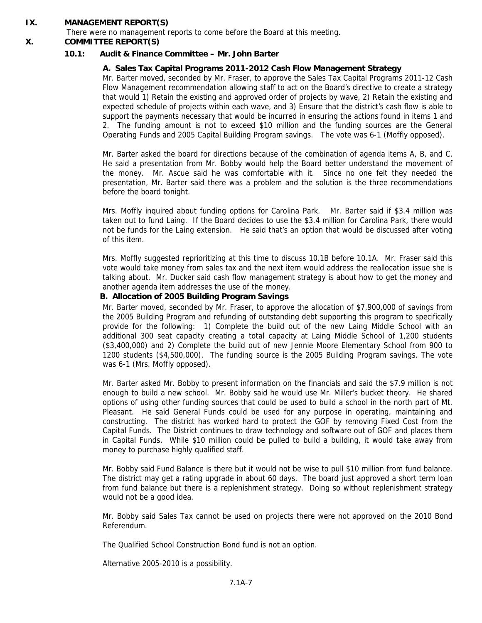### **IX. MANAGEMENT REPORT(S)**

There were no management reports to come before the Board at this meeting.

### **X. COMMITTEE REPORT(S)**

### **10.1: Audit & Finance Committee – Mr. John Barter**

### **A. Sales Tax Capital Programs 2011-2012 Cash Flow Management Strategy**

Mr. Barter moved, seconded by Mr. Fraser, to approve the Sales Tax Capital Programs 2011-12 Cash Flow Management recommendation allowing staff to act on the Board's directive to create a strategy that would 1) Retain the existing and approved order of projects by wave, 2) Retain the existing and expected schedule of projects within each wave, and 3) Ensure that the district's cash flow is able to support the payments necessary that would be incurred in ensuring the actions found in items 1 and 2. The funding amount is not to exceed \$10 million and the funding sources are the General Operating Funds and 2005 Capital Building Program savings. The vote was 6-1 (Moffly opposed).

Mr. Barter asked the board for directions because of the combination of agenda items A, B, and C. He said a presentation from Mr. Bobby would help the Board better understand the movement of the money. Mr. Ascue said he was comfortable with it. Since no one felt they needed the presentation, Mr. Barter said there was a problem and the solution is the three recommendations before the board tonight.

Mrs. Moffly inquired about funding options for Carolina Park. Mr. Barter said if \$3.4 million was taken out to fund Laing. If the Board decides to use the \$3.4 million for Carolina Park, there would not be funds for the Laing extension. He said that's an option that would be discussed after voting of this item.

Mrs. Moffly suggested reprioritizing at this time to discuss 10.1B before 10.1A. Mr. Fraser said this vote would take money from sales tax and the next item would address the reallocation issue she is talking about. Mr. Ducker said cash flow management strategy is about how to get the money and another agenda item addresses the use of the money.

### **B. Allocation of 2005 Building Program Savings**

Mr. Barter moved, seconded by Mr. Fraser, to approve the allocation of \$7,900,000 of savings from the 2005 Building Program and refunding of outstanding debt supporting this program to specifically provide for the following: 1) Complete the build out of the new Laing Middle School with an additional 300 seat capacity creating a total capacity at Laing Middle School of 1,200 students (\$3,400,000) and 2) Complete the build out of new Jennie Moore Elementary School from 900 to 1200 students (\$4,500,000). The funding source is the 2005 Building Program savings. The vote was 6-1 (Mrs. Moffly opposed).

Mr. Barter asked Mr. Bobby to present information on the financials and said the \$7.9 million is not enough to build a new school. Mr. Bobby said he would use Mr. Miller's bucket theory. He shared options of using other funding sources that could be used to build a school in the north part of Mt. Pleasant. He said General Funds could be used for any purpose in operating, maintaining and constructing. The district has worked hard to protect the GOF by removing Fixed Cost from the Capital Funds. The District continues to draw technology and software out of GOF and places them in Capital Funds. While \$10 million could be pulled to build a building, it would take away from money to purchase highly qualified staff.

Mr. Bobby said Fund Balance is there but it would not be wise to pull \$10 million from fund balance. The district may get a rating upgrade in about 60 days. The board just approved a short term loan from fund balance but there is a replenishment strategy. Doing so without replenishment strategy would not be a good idea.

Mr. Bobby said Sales Tax cannot be used on projects there were not approved on the 2010 Bond Referendum.

The Qualified School Construction Bond fund is not an option.

Alternative 2005-2010 is a possibility.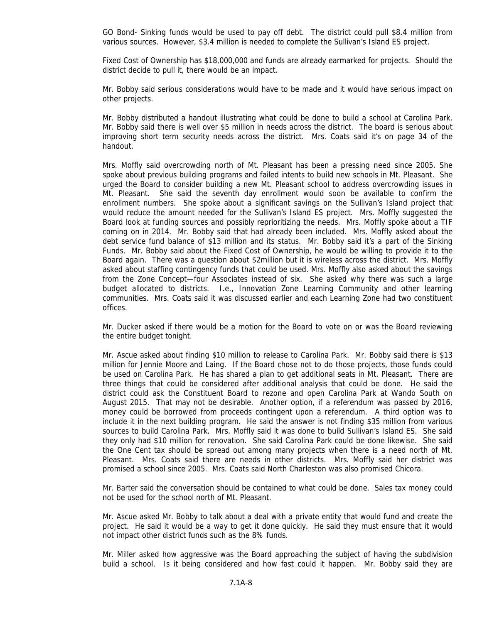GO Bond- Sinking funds would be used to pay off debt. The district could pull \$8.4 million from various sources. However, \$3.4 million is needed to complete the Sullivan's Island ES project.

Fixed Cost of Ownership has \$18,000,000 and funds are already earmarked for projects. Should the district decide to pull it, there would be an impact.

Mr. Bobby said serious considerations would have to be made and it would have serious impact on other projects.

Mr. Bobby distributed a handout illustrating what could be done to build a school at Carolina Park. Mr. Bobby said there is well over \$5 million in needs across the district. The board is serious about improving short term security needs across the district. Mrs. Coats said it's on page 34 of the handout.

Mrs. Moffly said overcrowding north of Mt. Pleasant has been a pressing need since 2005. She spoke about previous building programs and failed intents to build new schools in Mt. Pleasant. She urged the Board to consider building a new Mt. Pleasant school to address overcrowding issues in Mt. Pleasant. She said the seventh day enrollment would soon be available to confirm the enrollment numbers. She spoke about a significant savings on the Sullivan's Island project that would reduce the amount needed for the Sullivan's Island ES project. Mrs. Moffly suggested the Board look at funding sources and possibly reprioritizing the needs. Mrs. Moffly spoke about a TIF coming on in 2014. Mr. Bobby said that had already been included. Mrs. Moffly asked about the debt service fund balance of \$13 million and its status. Mr. Bobby said it's a part of the Sinking Funds. Mr. Bobby said about the Fixed Cost of Ownership, he would be willing to provide it to the Board again. There was a question about \$2million but it is wireless across the district. Mrs. Moffly asked about staffing contingency funds that could be used. Mrs. Moffly also asked about the savings from the Zone Concept—four Associates instead of six. She asked why there was such a large budget allocated to districts. I.e., Innovation Zone Learning Community and other learning communities. Mrs. Coats said it was discussed earlier and each Learning Zone had two constituent offices.

Mr. Ducker asked if there would be a motion for the Board to vote on or was the Board reviewing the entire budget tonight.

Mr. Ascue asked about finding \$10 million to release to Carolina Park. Mr. Bobby said there is \$13 million for Jennie Moore and Laing. If the Board chose not to do those projects, those funds could be used on Carolina Park. He has shared a plan to get additional seats in Mt. Pleasant. There are three things that could be considered after additional analysis that could be done. He said the district could ask the Constituent Board to rezone and open Carolina Park at Wando South on August 2015. That may not be desirable. Another option, if a referendum was passed by 2016, money could be borrowed from proceeds contingent upon a referendum. A third option was to include it in the next building program. He said the answer is not finding \$35 million from various sources to build Carolina Park. Mrs. Moffly said it was done to build Sullivan's Island ES. She said they only had \$10 million for renovation. She said Carolina Park could be done likewise. She said the One Cent tax should be spread out among many projects when there is a need north of Mt. Pleasant. Mrs. Coats said there are needs in other districts. Mrs. Moffly said her district was promised a school since 2005. Mrs. Coats said North Charleston was also promised Chicora.

Mr. Barter said the conversation should be contained to what could be done. Sales tax money could not be used for the school north of Mt. Pleasant.

Mr. Ascue asked Mr. Bobby to talk about a deal with a private entity that would fund and create the project. He said it would be a way to get it done quickly. He said they must ensure that it would not impact other district funds such as the 8% funds.

Mr. Miller asked how aggressive was the Board approaching the subject of having the subdivision build a school. Is it being considered and how fast could it happen. Mr. Bobby said they are